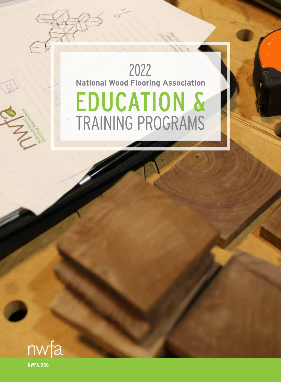# EDUCATION & TRAINING PROGRAMS **National Wood Flooring Association** 2022

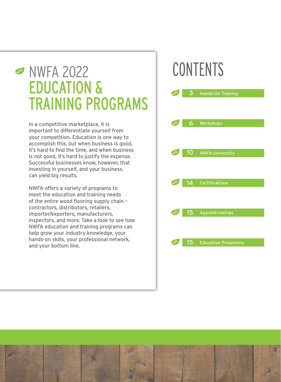# **S** NWFA 2022 EDUCATION & TRAINING PROGRAMS

In a competitive marketplace, it is important to differentiate yourself from your competition. Education is one way to accomplish this, but when business is good, it's hard to find the time, and when business is not good, it's hard to justify the expense. Successful businesses know, however, that investing in yourself, and your business, can yield big results.

NWFA offers a variety of programs to meet the education and training needs of the entire wood flooring supply chain – contractors, distributors, retailers, importer/exporters, manufacturers, inspectors, and more. Take a look to see how NWFA education and training programs can help grow your industry knowledge, your hands-on skills, your professional network, and your bottom line.

# CONTENTS



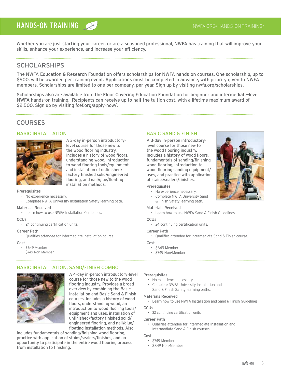# HANDS-ON TRAINING

Whether you are just starting your career, or are a seasoned professional, NWFA has training that will improve your skills, enhance your experience, and increase your efficiency.

# SCHOLARSHIPS

The NWFA Education & Research Foundation offers scholarships for NWFA hands-on courses. One scholarship, up to \$500, will be awarded per training event. Applications must be completed in advance, with priority given to NWFA members. Scholarships are limited to one per company, per year. Sign up by visiting nwfa.org/scholarships.

Scholarships also are available from the Floor Covering Education Foundation for beginner and intermediate-level NWFA hands-on training. Recipients can receive up to half the tuition cost, with a lifetime maximum award of \$2,500. Sign up by visiting fcef.org/apply-now/.

# **COURSES**

#### BASIC INSTALLATION



A 3-day in-person introductorylevel course for those new to the wood flooring industry. Includes a history of wood floors, understanding wood, introduction to wood flooring tools/equipment and installation of unfinished/ factory finished solid/engineered flooring, and nail/glue/floating installation methods.

#### **Prerequisites**

- No experience necessary.
- Complete NWFA University Installation Safety learning path.

#### Materials Received

• Learn how to use NWFA Installation Guidelines.

#### CCUS

• 24 continuing certification units.

#### Career Path

• Qualifies attendee for Intermediate Installation course.

#### Cost

- \$649 Member
- \$749 Non-Member

# BASIC INSTALLATION, SAND/FINISH COMBO



A 4-day in-person introductory-level course for those new to the wood flooring industry. Provides a broad overview by combining the Basic Installation and Basic Sand & Finish courses. Includes a history of wood floors, understanding wood, an introduction to wood flooring tools/ equipment and uses, installation of unfinished/factory finished solid/ engineered flooring, and nail/glue/ floating installation methods. Also

includes fundamentals of sanding/finishing wood flooring, practice with application of stains/sealers/finishes, and an opportunity to participate in the entire wood flooring process from installation to finishing.

#### BASIC SAND & FINISH

A 3-day in-person introductorylevel course for those new to the wood flooring industry. Includes a history of wood floors, fundamentals of sanding/finishing wood flooring, introduction to wood flooring sanding equipment/ uses, and practice with application of stains/sealers/finishes.

#### **Prerequisites**

- No experience necessary.
- Complete NWFA University Sand & Finish Safety learning path.

#### Materials Received

• Learn how to use NWFA Sand & Finish Guidelines.

#### **CCU<sub>S</sub>**

• 24 continuing certification units.

#### Career Path

• Qualifies attendee for Intermediate Sand & Finish course.

#### Cost

- \$649 Member
	- \$749 Non-Member

#### Prerequisites

- No experience necessary.
- Complete NWFA University Installation and
- Sand & Finish Safety learning paths.

#### Materials Received

• Learn how to use NWFA Installation and Sand & Finish Guidelines.

#### **CCUs**

• 32 continuing certification units.

#### Career Path

• Qualifies attendee for Intermediate Installation and Intermediate Sand & Finish courses.

#### Cost

- \$749 Member
- \$849 Non-Member

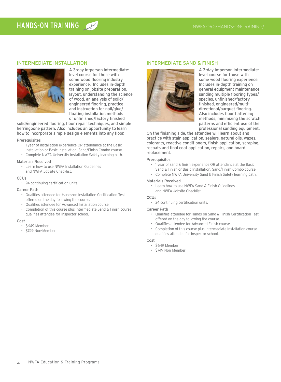#### INTERMEDIATE INSTALLATION



A 3-day in-person intermediatelevel course for those with some wood flooring industry experience. Includes in-depth training on jobsite preparation, layout, understanding the science of wood, an analysis of solid/ engineered flooring, practice and instruction for nail/glue/ floating installation methods of unfinished/factory finished

solid/engineered flooring, floor repair techniques, and simple herringbone pattern. Also includes an opportunity to learn how to incorporate simple design elements into any floor.

#### Prerequisites

- 1 year of installation experience OR attendance at the Basic
- Installation or Basic Installation, Sand/Finish Combo course. • Complete NWFA University Installation Safety learning path.
- 

#### Materials Received

• Learn how to use NWFA Installation Guidelines and NWFA Jobsite Checklist.

#### **CCU<sub>s</sub>**

• 24 continuing certification units.

#### Career Path

- Qualifies attendee for Hands-on Installation Certification Test offered on the day following the course.
- Qualifies attendee for Advanced Installation course.
- Completion of this course plus Intermediate Sand & Finish course qualifies attendee for Inspector school.

#### Cost

- \$649 Member
- \$749 Non-Member

#### INTERMEDIATE SAND & FINISH



A 3-day in-person intermediatelevel course for those with some wood flooring experience. Includes in-depth training on general equipment maintenance, sanding multiple flooring types/ species, unfinished/factory finished, engineered/multidirectional/parquet flooring. Also includes floor flattening methods, minimizing the scratch patterns and efficient use of the professional sanding equipment.

On the finishing side, the attendee will learn about and practice with stain application, sealers, natural oils, waxes, colorants, reactive conditioners, finish application, scraping, recoats and final coat application, repairs, and board replacement.

#### Prerequisites

- 1 year of sand & finish experience OR attendance at the Basic
- Sand & Finish or Basic Installation, Sand/Finish Combo course.
- Complete NWFA University Sand & Finish Safety learning path.

#### Materials Received

• Learn how to use NWFA Sand & Finish Guidelines and NWFA Jobsite Checklist.

#### CCUS

• 24 continuing certification units.

#### Career Path

- Qualifies attendee for Hands-on Sand & Finish Certification Test offered on the day following the course.
- Qualifies attendee for Advanced Finish course.
- Completion of this course plus Intermediate Installation course qualifies attendee for Inspector school.

#### Cost

- \$649 Member
- \$749 Non-Member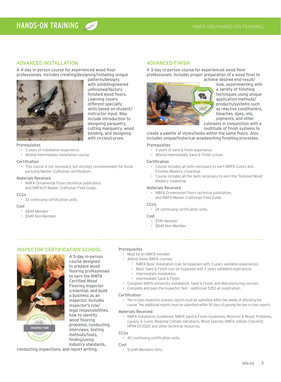#### ADVANCED INSTALLATION

A 4-day in-person course for experienced wood floor professionals. Includes creating/designing/installing unique



patterns/designs with solid/engineered unfinished/factory finished wood floors. Learning covers different specialty skills based on student/ instructor input. May include introduction to designing parquetry, cutting marquetry, wood bending, and designing with circles/curves.

#### Prerequisites

- 3 years of installation experience.
- Attend Intermediate Installation course.

#### Certification

• This course is not necessary, but strongly recommended, for those pursuing Master Craftsman certification.

#### Materials Received

• NWFA Ornamental Floors technical publication, and NWFACP Master Craftsman Field Guide.

#### CCUs

• 32 continuing certification units.

#### Cost

- \$849 Member
- \$949 Non-Member

#### ADVANCED FINISH

A 3-day in-person course for experienced wood floor professionals. Includes proper preparation of a wood floor to achieve desired end-result/



look, experimenting with a variety of finishing techniques using unique application methods/ products/systems such as reactive conditioners, bleaches, dyes, oils, pigments, and other colorants in conjunction with a

multitude of finish systems to

create a palette of styles/looks within the same floors. Also includes unique/historical woodworking finishing processes.

#### Prerequisites

- 3 years of sand & finish experience.
- Attend Intermediate Sand & Finish school.

#### Certification

- Course includes all skills necessary to earn NWFA Colors and Finishes Mastery credential.
- Course includes all the skills necessary to earn the Textured Wood Mastery credential.

#### Materials Received

• NWFA Ornamental Floors technical publication, and NWFA Master Craftsman Field Guide.

#### **CCU<sub>s</sub>**

• 24 continuing certification units.

#### Cost

- \$749 Member
- \$849 Non-Member

#### INSPECTOR CERTIFICATION SCHOOL



A 5-day in-person course designed to prepare wood flooring professionals to earn the NWFA Certified Wood Flooring Inspector credential, and build a business as an inspector. Includes inspector's role/ legal responsibilities, how to identify wood flooring problems, conducting interviews, testing methods/tools, finding/using industry standards,

#### Prerequisites

• Must be an NWFA member.

- Attend these NWFA courses:
	- NWFA Basic Installation (can be bypassed with 3 years validated experience).
	- Basic Sand & Finish (can be bypassed with 3 years validated experience).
	- Intermediate Installation.
	- Intermediate Sand & Finish.
- Complete NWFA University Installation, Sand & Finish, and Manufacturing courses.
- Complete and pass the Inspector Test additional \$350 at registration.

#### Certification

• Two in-class inspection scenario reports must be submitted within two weeks of attending the course. Two additional reports must be submitted within 90 days of passing the two in-class reports.

#### Materials Received

• NWFA Installation Guidelines; NWFA Sand & Finish Guidelines; Moisture & Wood; Problems, Causes, & Cures; Regional Climate Variations; Wood Species; NWFA Jobsite Checklist; HPVA EF2020; and other technical resources.

#### CCUs

• 40 continuing certification units.

#### Cost

• \$1,649 Members Only

conducting inspections, and report writing.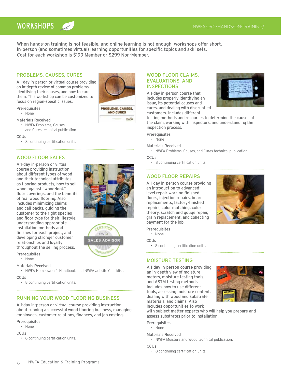# WORKSHOPS AND TRAINING/

When hands-on training is not feasible, and online learning is not enough, workshops offer short, in-person (and sometimes virtual) learning opportunities for specific topics and skill sets. Cost for each workshop is \$199 Member or \$299 Non-Member.

#### PROBLEMS, CAUSES, CURES

A 1-day in-person or virtual course providing an in-depth review of common problems, identifying their causes, and how to cure them. This workshop can be customized to focus on region-specific issues.

#### Prerequisites

- None
- Materials Received
- NWFA Problems, Causes, and Cures technical publication.

## **CCU<sub>s</sub>**

• 8 continuing certification units.

#### WOOD FLOOR SALES

A 1-day in-person or virtual course providing instruction about different types of wood and their technical attributes as flooring products, how to sell wood against "wood-look" floor coverings, and the benefits of real wood flooring. Also includes minimizing claims and call-backs, guiding the customer to the right species and floor type for their lifestyle, understanding appropriate installation methods and finishes for each project, and developing stronger customer relationships and loyalty throughout the selling process.





Prerequisites

• None

#### Materials Received

• NWFA Homeowner's Handbook, and NWFA Jobsite Checklist.

#### **CCUs**

• 8 continuing certification units.

#### RUNNING YOUR WOOD FLOORING BUSINESS

A 1-day in-person or virtual course providing instruction about running a successful wood flooring business, managing employees, customer relations, finances, and job costing.

#### Prerequisites

• None

CCUS

• 8 continuing certification units.

#### WOOD FLOOR CLAIMS, EVALUATIONS, AND **INSPECTIONS**

A 1-day in-person course that includes properly identifying an issue, its potential causes and cures, and dealing with disgruntled customers. Includes different



testing methods and resources to determine the causes of the claim, working with inspectors, and understanding the inspection process.

- Prerequisites
- None

#### Materials Received

• NWFA Problems, Causes, and Cures technical publication.

#### **CCUs**

• 8 continuing certification units.

#### WOOD FLOOR REPAIRS

A 1-day in-person course providing an introduction to advancedlevel repair work on finished floors, injection repairs, board replacements, factory-finished repairs, color matching, color theory, scratch and gouge repair, grain replacement, and collecting payment for the job.



#### Prerequisites

• None

**CCU<sub>s</sub>** 

• 8 continuing certification units.

#### MOISTURE TESTING

A 1-day in-person course providing an in-depth view of moisture meters, moisture testing tools, and ASTM testing methods. Includes how to use different tools, assessing moisture content, dealing with wood and substrate materials, and claims. Also includes opportunities to work



with subject matter experts who will help you prepare and assess substrates prior to installation.

#### Prerequisites

• None

#### Materials Received

• NWFA Moisture and Wood technical publication.

CCUs

• 8 continuing certification units.

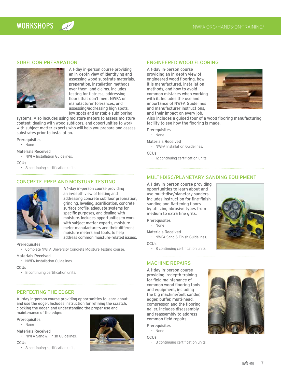#### SUBFLOOR PREPARATION



A 1-day in-person course providing an in-depth view of identifying and assessing wood substrate materials, preparation, installation methods over them, and claims. Includes testing for flatness, addressing floors that don't meet NWFA or manufacturer tolerances, and assessing/addressing high spots, low spots and unstable subflooring

systems. Also includes using moisture meters to assess moisture content, dealing with wood subfloors, and opportunities to work with subject matter experts who will help you prepare and assess substrates prior to installation.

Prerequisites

- None
- Materials Received
- NWFA Installation Guidelines.

**CCU<sub>s</sub>** 

• 8 continuing certification units.

#### 

#### CONCRETE PREP AND MOISTURE TESTING



A 1-day in-person course providing an in-depth view of testing and addressing concrete subfloor preparation, grinding, leveling, scarification, concrete surface profile, adequate systems for specific purposes, and dealing with moisture. Includes opportunities to work with subject matter experts, moisture meter manufacturers and their different moisture meters and tools, to help address common moisture-related issues.

#### Prerequisites

• Complete NWFA University Concrete Moisture Testing course.

#### Materials Received

• NWFA Installation Guidelines.

**CCU<sub>s</sub>** 

• 8 continuing certification units.

#### PERFECTING THE EDGER

A 1-day in-person course providing opportunities to learn about and use the edger. Includes instruction for refining the scratch, clocking the edger, and understanding the proper use and maintenance of the edger.

- **Prerequisites**
- None
- Materials Received
- NWFA Sand & Finish Guidelines.

CCUS

• 8 continuing certification units.



#### ENGINEERED WOOD FLOORING

A 1-day in-person course providing an in-depth view of engineered wood flooring, how it is manufactured, installation methods, and how to avoid common mistakes when working with it. Includes the use and importance of NWFA Guidelines and manufacturer instructions, and their impact on every job.



Also includes a guided tour of a wood flooring manufacturing facility to see how the flooring is made.

Prerequisites

• None

Materials Received

• NWFA Installation Guidelines.

**CCU<sub>s</sub>** 

• 12 continuing certification units.

#### MULTI-DISC/PLANETARY SANDING EQUIPMENT

A 1-day in-person course providing opportunities to learn about and use multi-disc/planetary sanders. Includes instruction for fine-finish sanding and flattening floors by utilizing abrasive types from medium to extra fine grits.

#### Prerequisites

- None
- Materials Received

• NWFA Sand & Finish Guidelines.

CCUs

• 8 continuing certification units.

#### MACHINE REPAIRS

A 1-day in-person course providing in-depth training for field maintenance of common wood flooring tools and equipment, including the big machine/belt sander, edger, buffer, multi-head, compressor, and the flooring nailer. Includes disassembly and reassembly to address common field repairs.

- Prerequisites
- None

**CCU<sub>s</sub>** 

• 8 continuing certification units.



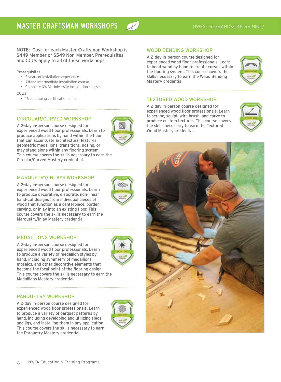NOTE: Cost for each Master Craftsman Workshop is \$449 Member or \$549 Non-Member. Prerequisites and CCUs apply to all of these workshops.

#### **Prerequisites**

- 3 years of installation experience.
- Attend Intermediate Installation course.
- Complete NWFA University Installation courses.

#### **CCUs**

• 16 continuing certification units.

#### CIRCULAR/CURVED WORKSHOP

A 2-day in-person course designed for experienced wood floor professionals. Learn to produce applications by hand within the floor that can accentuate architectural features, geometric medallions, transitions, nosing, or may stand alone within any flooring system. This course covers the skills necessary to earn the Circular/Curved Mastery credential.

#### MARQUETRY/INLAYS WORKSHOP

A 2-day in-person course designed for experienced wood floor professionals. Learn to produce decorative, elaborate, non-linear, hand-cut designs from individual pieces of wood that function as a centerpiece, border, carving, or inlay into an existing floor. This course covers the skills necessary to earn the Marquetry/Inlay Mastery credential.

#### MEDALLIONS WORKSHOP

A 2-day in-person course designed for experienced wood floor professionals. Learn to produce a variety of medallion styles by hand, including symmetry of medallions, mosaics, and other decorative elements that become the focal-point of the flooring design. This course covers the skills necessary to earn the Medallions Mastery credential.

#### PARQUETRY WORKSHOP

A 2-day in-person course designed for experienced wood floor professionals. Learn to produce a variety of parquet patterns by hand, including developing and utilizing sleds and jigs, and installing them in any application. This course covers the skills necessary to earn the Parquetry Mastery credential.



#### WOOD BENDING WORKSHOP

A 2-day in-person course designed for experienced wood floor professionals. Learn to bend wood by hand to create curves within the flooring system. This course covers the skills necessary to earn the Wood Bending Mastery credential.



#### TEXTURED WOOD WORKSHOP

A 2-day in-person course designed for experienced wood floor professionals. Learn to scrape, sculpt, wire brush, and carve to produce custom textures. This course covers the skills necessary to earn the Textured Wood Mastery credential.



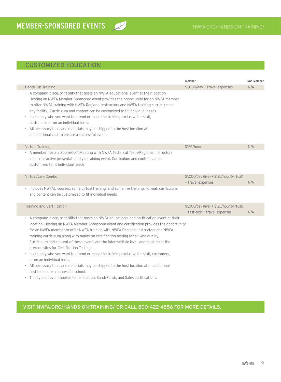# CUSTOMIZED EDUCATION

|                                                                                                                                                                                                                                                                                                                                                                                                                                                                                                                                                                                                                                                                                                                                                                             | Member                                                                     | Non-Member |
|-----------------------------------------------------------------------------------------------------------------------------------------------------------------------------------------------------------------------------------------------------------------------------------------------------------------------------------------------------------------------------------------------------------------------------------------------------------------------------------------------------------------------------------------------------------------------------------------------------------------------------------------------------------------------------------------------------------------------------------------------------------------------------|----------------------------------------------------------------------------|------------|
| Hands-On Training                                                                                                                                                                                                                                                                                                                                                                                                                                                                                                                                                                                                                                                                                                                                                           | \$1,000/day + travel expenses                                              | N/A        |
| • A company, place, or facility that hosts an NWFA educational event at their location.<br>Hosting an NWFA Member-Sponsored event provides the opportunity for an NWFA member<br>to offer NWFA training with NWFA Regional Instructors and NWFA training curriculum at<br>any facility. Curriculum and content can be customized to fit individual needs.<br>• Invite only who you want to attend or make the training exclusive for staff,<br>customers, or on an individual basis.<br>• All necessary tools and materials may be shipped to the host location at<br>an additional cost to ensure a successful event.                                                                                                                                                      |                                                                            |            |
| Virtual Training                                                                                                                                                                                                                                                                                                                                                                                                                                                                                                                                                                                                                                                                                                                                                            | \$125/hour                                                                 | N/A        |
| • A member hosts a Zoom/GoToMeeting with NWFA Technical Team/Regional Instructors<br>in an interactive presentation style training event. Curriculum and content can be<br>customized to fit individual needs.                                                                                                                                                                                                                                                                                                                                                                                                                                                                                                                                                              |                                                                            |            |
| Virtual/Live Combo                                                                                                                                                                                                                                                                                                                                                                                                                                                                                                                                                                                                                                                                                                                                                          | \$1,000/day (live) + \$125/hour (virtual)<br>+ travel expenses             | N/A        |
| · Includes NWFAU courses, some virtual training, and some live training. Format, curriculum,<br>and content can be customized to fit individual needs.                                                                                                                                                                                                                                                                                                                                                                                                                                                                                                                                                                                                                      |                                                                            |            |
| Training and Certification                                                                                                                                                                                                                                                                                                                                                                                                                                                                                                                                                                                                                                                                                                                                                  | \$1,000/day (live) + \$125/hour (virtual)<br>+ test cost + travel expenses | N/A        |
| • A company, place, or facility that hosts an NWFA educational and certification event at their<br>location. Hosting an NWFA Member-Sponsored event and certification provides the opportunity<br>for an NWFA member to offer NWFA training with NWFA Regional Instructors and NWFA<br>training curriculum along with hands-on certification testing for all who qualify.<br>Curriculum and content of these events are the intermediate level, and must meet the<br>prerequisites for Certification Testing.<br>• Invite only who you want to attend or make the training exclusive for staff, customers,<br>or on an individual basis.<br>• All necessary tools and materials may be shipped to the host location at an additional<br>cost to ensure a successful school. |                                                                            |            |

 $\alpha$ 

• This type of event applies to Installation, Sand/Finish, and Sales certifications.

## VISIT NWFA.ORG/HANDS-ON-TRAINING/ OR CALL 800-422-4556 FOR MORE DETAILS.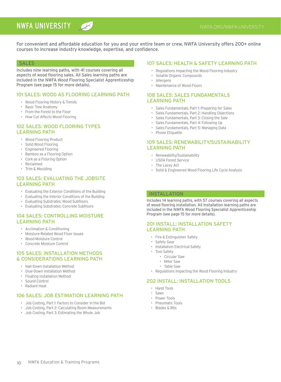# NWFA UNIVERSITY

For convenient and affordable education for you and your entire team or crew, NWFA University offers 200+ online courses to increase industry knowledge, expertise, and confidence.

#### **SALES**

Includes nine learning paths, with 41 courses covering all aspects of wood flooring sales. All Sales learning paths are included in the NWFA Wood Flooring Specialist Apprenticeship Program (see page 15 for more details).

#### 101 SALES: WOOD AS FLOORING LEARNING PATH

- Wood Flooring History & Trends
- Basic Tree Anatomy
- From the Forest to the Floor
- How Cut Affects Wood Flooring

#### 102 SALES: WOOD FLOORING TYPES LEARNING PATH

- Wood Flooring Product
- Solid Wood Flooring
- Engineered Flooring
- Bamboo as a Flooring Option
- Cork as a Flooring Option
- Reclaimed
- Trim & Moulding

#### 103 SALES: EVALUATING THE JOBSITE LEARNING PATH

- Evaluating the Exterior Conditions of the Building
- Evaluating the Interior Conditions of the Building
- Evaluating Substrates: Wood Subfloors
- Evaluating Substrates: Concrete Subfloors

#### 104 SALES: CONTROLLING MOISTURE LEARNING PATH

- Acclimation & Conditioning
- Moisture-Related Wood Floor Issues
- Wood Moisture Control
- Concrete Moisture Control

#### 105 SALES: INSTALLATION METHODS & CONSIDERATIONS LEARNING PATH

- Nail-Down Installation Method
- Glue-Down Installation Method
- Floating Installation Method
- Sound Control
- Radiant Heat

#### 106 SALES: JOB ESTIMATION LEARNING PATH

- Job Costing, Part 1: Factors to Consider in the Bid
- Job Costing, Part 2: Calculating Room Measurements
- Job Costing, Part 3: Estimating the Whole Job

#### 107 SALES: HEALTH & SAFETY LEARNING PATH

- Regulations Impacting the Wood Flooring Industry
- Volatile Organic Compounds
- Allergens
- Maintenance of Wood Floors

#### 108 SALES: SALES FUNDAMENTALS LEARNING PATH

- Sales Fundamentals, Part 1: Preparing for Sales
- Sales Fundamentals, Part 2: Handling Objections
- Sales Fundamentals, Part 3: Closing the Sale
- Sales Fundamentals, Part 4: Following Up
- Sales Fundamentals, Part 5: Managing Data
- Phone Etiquette

#### 109 SALES: RENEWABILITY/SUSTAINABILITY LEARNING PATH

- Renewability/Sustainability
- USDA Forest Service
- The Lacey Act
- Solid & Engineered Wood Flooring Life Cycle Analysis

#### INSTALLATION

Includes 14 learning paths, with 57 courses covering all aspects of wood flooring installation. All Installation learning paths are included in the NWFA Wood Flooring Specialist Apprenticeship Program (see page 15 for more details).

#### 201 INSTALL: INSTALLATION SAFETY LEARNING PATH

- Fire & Extinguisher Safety
- Safety Gear
- Installation Electrical Safety
- Tool Safety
	- Circular Saw
	- Miter Saw
	- Table Saw
- Regulations Impacting the Wood Flooring Industry

#### 202 INSTALL: INSTALLATION TOOLS

- Hand Tools
- Saws
- Power Tools
- Pneumatic Tools
- Blades & Bits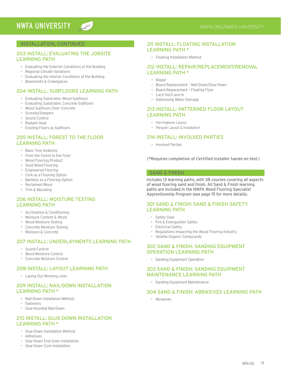#### INSTALLATION, CONTINUED

#### 203 INSTALL: EVALUATING THE JOBSITE LEARNING PATH

- Evaluating the Exterior Conditions of the Building
- Regional Climate Variations
- Evaluating the Interior Conditions of the Building
- Basements & Crawlspaces

#### 204 INSTALL: SUBFLOORS LEARNING PATH

- Evaluating Substrates: Wood Subfloors
- Evaluating Substrates: Concrete Subfloors
- Wood Subfloors Over Concrete
- Screeds/Sleepers
- Sound Control
- Radiant Heat
- Existing Floors as Subfloors

#### 205 INSTALL: FOREST TO THE FLOOR LEARNING PATH

- Basic Tree Anatomy
- From the Forest to the Floor
- Wood Flooring Product
- Solid Wood Flooring
- Engineered Flooring
- Cork as a Flooring Option
- Bamboo as a Flooring Option
- Reclaimed Wood
- Trim & Moulding

#### 206 INSTALL: MOISTURE TESTING LEARNING PATH

- Acclimation & Conditioning
- Moisture Content & Wood
- Wood Moisture Testing
- Concrete Moisture Testing
- Moisture & Concrete

#### 207 INSTALL: UNDERLAYMENTS LEARNING PATH

- Sound Control
- Wood Moisture Control
- Concrete Moisture Control

#### 208 INSTALL: LAYOUT LEARNING PATH

• Laying Out Working Lines

#### 209 INSTALL: NAIL-DOWN INSTALL ATION LEARNING PATH \*

- Nail-Down Installation Method
- Fasteners
- Glue-Assisted Nail-Down

#### 210 INSTALL: GLUE-DOWN INSTALLATION LEARNING PATH \*

- Glue-Down Installation Method
- Adhesives
- Glue-Down End-Grain Installation
- Glue-Down Cork Installation

#### 211 INSTALL: FLOATING INSTALLATION LEARNING PATH \*

• Floating Installation Method

#### 212 INSTALL: REPAIR/REPLACEMENT/REMOVAL LEARNING PATH \*

- Repair
- Board Replacement Nail-Down/Glue-Down
- Board Replacement Floating Floor
- Lace-Out/Lace-In
- Addressing Water Damage

#### 213 INSTALL: PATTERNED FLOOR LAYOUT LEARNING PATH

- Herringbone Layout
- Parquet Layout & Installation

#### 214 INSTALL: INVOLVED PARTIES

• Involved Parties

(\*Requires completion of Certified Installer hands-on test.)

#### SAND & FINISH

Includes 13 learning paths, with 38 courses covering all aspects of wood flooring sand and finish. All Sand & Finish learning paths are included in the NWFA Wood Flooring Specialist Apprenticeship Program (see page 15 for more details).

#### 301 SAND & FINISH: SAND & FINISH SAFETY LEARNING PATH

- Safety Gear
- Fire & Extinguisher Safety
- Electrical Safety
- Regulations Impacting the Wood Flooring Industry
- Volatile Organic Compounds

#### 302 SAND & FINISH: SANDING EQUIPMENT OPERATION LEARNING PATH

• Sanding Equipment Operation

#### 303 SAND & FINISH: SANDING EQUIPMENT MAINTENANCE LEARNING PATH

• Sanding Equipment Maintenance

#### 304 SAND & FINISH: ABRASIVES LEARNING PATH

• Abrasives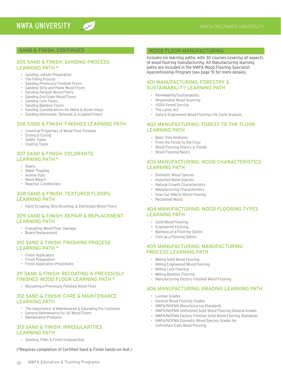#### SAND & FINISH, CONTINUED

#### 305 SAND & FINISH: SANDING PROCESS LEARNING PATH \*

 $\overline{\mathcal{K}}$ 

- Sanding Jobsite Preparation<br>• The Filling Process
- The Filling Process
- Sanding Previously Finished Floors
- Sanding Strip and Plank Wood Floors
- Sanding Parquet Wood Floors • Sanding End Grain Wood Floors
- Sanding Cork Floors
- 
- Sanding Bamboo Floors
- Sanding Considerations for Metal & Stone Inlays
- Sanding Distressed, Textured, & Sculpted Floors

#### 306 SAND & FINISH: FINISHES LEARNING PATH

- Chemical Properties of Wood Floor Finishes<br>• Drying & Curing
- Drying & Curing
- Sealer Types
- Coating Types

#### 307 SAND & FINISH: COLORANTS LEARNING PATH \*

- Stains
- Water Popping
- Aniline Dyes
- Wood Bleach
- Reactive Conditioners

#### 308 SAND & FINISH: TEXTURED FLOORS LEARNING PATH

• Hand Scraping, Wire Brushing, & Distressed Wood Floors

#### 309 SAND & FINISH: REPAIR & REPLACEMENT LEARNING PATH

- Evaluating Wood Floor Damage
- Board Replacement

#### 310 SAND & FINISH: FINISHING PROCESS LEARNING PATH \*

- Finish Applicators
- Finish Preparation
- Finish Application Procedures

#### 311 SAND & FINISH: RECOATING A PREVIOUSLY FINISHED WOOD FLOOR LEARNING PATH \*

• Recoating a Previously Finished Wood Floor

#### 312 SAND & FINISH: CARE & MAINTENANCE LEARNING PATH

- The Importance of Maintenance & Educating the Customer
- General Maintenance for All Wood Floors
- Maintenance Products

#### 313 SAND & FINISH: IRREGULARITIES LEARNING PATH

• Sanding, Filler, & Finish Irregularities

(\*Requires completion of Certified Sand & Finish hands-on test.)

#### WOOD FLOOR MANUFACTURING

Includes six learning paths, with 30 courses covering all aspects of wood flooring manufacturing. All Manufacturing learning paths are included in the NWFA Wood Flooring Specialist Apprenticeship Program (see page 15 for more details).

#### 401 MANUFACTURING: FORESTRY & SUSTAINABILITY LEARNING PATH

- Renewability/Sustainability
- Responsible Wood Sourcing
- USDA Forest Service
- The Lacey Act
- Solid & Engineered Wood Flooring Life Cycle Analysis

#### 402 MANUFACTURING: FOREST TO THE FLOOR LEARNING PATH

- Basic Tree Anatomy
- From the Forest to the Floor
- Wood Flooring History & Trends
- Wood Flooring Basics

#### 403 MANUFACTURING: WOOD CHARACTERISTICS LEARNING PATH

- Domestic Wood Species
- Imported Wood Species
- Natural Growth Characteristics
- Manufacturing Characteristics
- How Cut Affects Wood Flooring
- Reclaimed Wood

#### 404 MANUFACTURING: WOOD FLOORING TYPES LEARNING PATH

- Solid Wood Flooring
- Engineered Flooring
- Bamboo as a Flooring Option
- Cork as a Flooring Option

#### 405 MANUFACTURING: MANUFACTURING PROCESS LEARNING PATH

- Milling Solid Wood Flooring
- Milling Engineered Wood Flooring
- Milling Cork Flooring
- Milling Bamboo Flooring
- Manufacturing Factory Finished Wood Flooring

#### 406 MANUFACTURING: GRADING LEARNING PATH

- Lumber Grades
- General Wood Flooring Grades
- NWFA/NOFMA Manufacturing Standards
- NWFA/NOFMA Unfinished Solid Wood Flooring General Grades
- NWFA/NOFMA Factory Finished Solid Wood Flooring Standards
- NWFA/NOFMA Domestic Wood Species Grades for Unfinished Solid Wood Flooring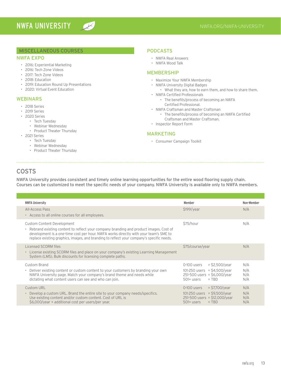$\overline{\mathscr{N}}$ 

#### MISCELLANEOUS COURSES

#### NWFA EXPO

- 2016: Experiential Marketing
- 2016: Tech Zone Videos
- 2017: Tech Zone Videos
- 2018: Education
- 2019: Education Round Up Presentations
- 2020: Virtual Event Education

#### WEBINARS

- 2018 Series
- 2019 Series
- 2020 Series
	- Tech Tuesday
	- Webinar Wednesday
	- Product Theater Thursday
- 2021 Series

- Tech Tuesday
- Webinar Wednesday
- Product Theater Thursday

#### PODCASTS

- NWFA Real Answers
- NWFA Wood Talk

#### MEMBERSHIP

- Maximize Your NWFA Membership
- NWFA University Digital Badges
- What they are, how to earn them, and how to share them. • NWFA Certified Professionals
	- The benefits/process of becoming an NWFA Certified Professional.
- NWFA Craftsman and Master Craftsman
	- The benefits/process of becoming an NWFA Certified Craftsman and Master Craftsman.
- Inspector Report Form

#### MARKETING

• Consumer Campaign Toolkit

## COSTS

NWFA University provides consistent and timely online learning opportunities for the entire wood flooring supply chain. Courses can be customized to meet the specific needs of your company. NWFA University is available only to NWFA members.

| <b>NWFA University</b>                                                                                                                                                                                                                                                                                                | Member                                                                                                                        | Non-Member               |
|-----------------------------------------------------------------------------------------------------------------------------------------------------------------------------------------------------------------------------------------------------------------------------------------------------------------------|-------------------------------------------------------------------------------------------------------------------------------|--------------------------|
| All-Access Pass<br>• Access to all online courses for all employees.                                                                                                                                                                                                                                                  | \$199/year                                                                                                                    | N/A                      |
| Custom Content Development<br>Rebrand existing content to reflect your company branding and product images. Cost of<br>$\bullet$<br>development is a one-time cost per hour. NWFA works directly with your team's SME to<br>replace existing graphics, images, and branding to reflect your company's specific needs. | \$75/hour                                                                                                                     | N/A                      |
| Licensed SCORM files<br>• License existing SCORM files and place on your company's existing Learning Management<br>System (LMS). Bulk discounts for licensing complete paths.                                                                                                                                         | \$75/course/year                                                                                                              | N/A                      |
| Custom Brand<br>Deliver existing content or custom content to your customers by branding your own<br>$\bullet$<br>NWFA University page. Match your company's brand theme and needs while<br>dictating what content users can see and who can join.                                                                    | $=$ \$2,500/year<br>0-100 users<br>101-250 users = $$4,500/year$<br>251-500 users = $$6,000/year$<br>$= TBD$<br>$501+$ users  | N/A<br>N/A<br>N/A<br>N/A |
| <b>Custom URL</b><br>Develop a custom URL. Brand the entire site to your company needs/specifics.<br>$\bullet$<br>Use existing content and/or custom content. Cost of URL is<br>\$6,000/year + additional cost per users/per year.                                                                                    | $= $7,700/year$<br>0-100 users<br>101-250 users = $$9,500/year$<br>$251 - 500$ users = \$12,000/year<br>501+ users<br>$=$ TBD | N/A<br>N/A<br>N/A<br>N/A |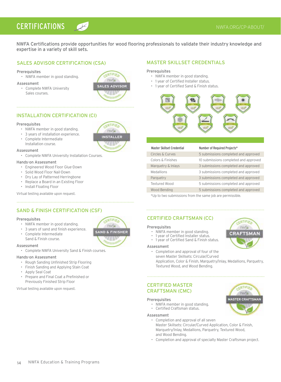# **CERTIFICATIONS**  $\mathbb{Z}$  **CERTIFICATIONS**

NWFA Certifications provide opportunities for wood flooring professionals to validate their industry knowledge and expertise in a variety of skill sets.

#### SALES ADVISOR CERTIFICATION (CSA)

#### **Prerequisites**

• NWFA member in good standing.

#### Assessment

• Complete NWFA University Sales courses.



# INSTALLATION CERTIFICATION (CI)

#### Prerequisites

- NWFA member in good standing.
- 3 years of installation experience.
- Complete Intermediate
- Installation course.

#### Assessment

• Complete NWFA University Installation Courses.

#### Hands-on Assessment

- Engineered Wood Floor Glue-Down
- Solid Wood Floor Nail-Down
- Dry Lay of Patterned Herringbone
- Replace a Board in an Existing Floor
- Install Floating Floor

Virtual testing available upon request.

#### SAND & FINISH CERTIFICATION (CSF)

#### **Prerequisites**

- NWFA member in good standing.
- 3 years of sand and finish experience.
- Complete Intermediate
- Sand & Finish course.

#### Assessment

• Complete NWFA University Sand & Finish courses.

#### Hands-on Assessment

- Rough Sanding Unfinished Strip Flooring
- Finish Sanding and Applying Stain Coat
- Apply Seal Coat
- Prepare and Final Coat a Prefinished or Previously Finished Strip Floor

Virtual testing available upon request.



#### MASTER SKILLSET CREDENTIALS

#### Prerequisites

- NWFA member in good standing.
- 1 year of Certified Installer status.
- 1 year of Certified Sand & Finish status.



| Number of Required Projects*          |
|---------------------------------------|
| 5 submissions completed and approved  |
| 10 submissions completed and approved |
| 3 submissions completed and approved  |
| 3 submissions completed and approved  |
| 3 submissions completed and approved  |
| 5 submissions completed and approved  |
| 5 submissions completed and approved  |
|                                       |

\*Up to two submissions from the same job are permissible.

#### CERTIFIED CRAFTSMAN (CC)

#### **Prerequisites**

- NWFA member in good standing.
- 1 year of Certified Installer status.
- 1 year of Certified Sand & Finish status.

#### Assessment

• Completion and approval of four of the seven Master Skillsets: Circular/Curved

Application, Color & Finish, Marquetry/Inlay, Medallions, Parquetry, Textured Wood, and Wood Bending.

#### CERTIFIED MASTER CRAFTSMAN (CMC)

#### **Prerequisites**

- NWFA member in good standing.
- Certified Craftsman status.

#### Assessment

- Completion and approval of all seven Master Skillsets: Circular/Curved Application, Color & Finish, Marquetry/Inlay, Medallions, Parquetry, Textured Wood, and Wood Bending.
- Completion and approval of specialty Master Craftsman project.



ERTIFIE

nwfa

**CRAFTSMAN** 



#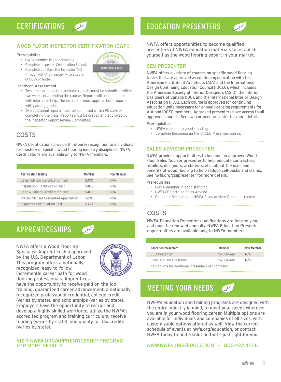#### WOOD FLOOR INSPECTOR CERTIFICATION (CWFI)

#### **Prerequisites**

- NWFA member in good standing.
- Complete Inspector Certification School.
- Complete and Pass the Inspector Test through NWFA University, with a score of 80% or better.

#### Hands-on Assessment

- Two in-class inspection scenario reports must be submitted within two weeks of attending the course. Reports will be completed with instructor help. The instructor must approve both reports with passing grades.
- Two additional reports must be submitted within 90 days of completing the class. Reports must be graded and approved by the Inspector Report Review Committee.

## COSTS

NWFA Certifications provide third-party recognition to individuals for mastery of specific wood flooring industry disciplines. NWFA Certifications are available only to NWFA members.

| <b>Certification Testing</b>           | Member | Non-Member |
|----------------------------------------|--------|------------|
| Sales Advisor Certification Test       | \$300  | N/A        |
| Installation Certification Test        | \$400  | N/A        |
| Sand & Finish Certification Test       | \$400  | N/A        |
| Master Skillset Credential Application | \$200  | N/A        |
| <b>Inspector Certification Test</b>    | \$350  | N/A        |
|                                        |        |            |

# APPRENTICESHIPS

NWFA offers a Wood Flooring Specialist Apprenticeship approved by the U.S. Department of Labor. This program offers a nationally recognized, easy-to-follow, incremental career path for wood flooring professionals. Apprentices



have the opportunity to receive paid on-the-job training, guaranteed career advancement, a nationally recognized professional credential, college credit (varies by state), and scholarships (varies by state). Employers have the opportunity to recruit and develop a highly skilled workforce, utilize the NWFA's accredited program and training curriculum, receive funding (varies by state), and qualify for tax credits (varies by state).

#### VISIT NWFA.ORG/APPRENTICESHIP-PROGRAM FOR MORE DETAILS.

# CERTIFICATIONS CONTROL EDUCATION PRESENTERS

NWFA offers opportunities to become qualified presenters of NWFA education materials to establish yourself as the wood flooring expert in your market.

#### CEU PRESENTER

NWFA offers a variety of courses on specific wood flooring topics that are approved as continuing education with the American Institute of Architects (AIA) and the International Design Continuing Education Council (IDCEC), which includes the American Society of Interior Designers (ASID), the Interior Designers of Canada (IDC), and the International Interior Design Association (IIDA). Each course is approved for continuing education units necessary for annual licensing requirements for AIA and IDCEC members. Approved presenters have access to all approved courses. See nwfa.org/ceupresenter for more details.

#### **Prerequisites**

- NWFA member in good standing.
- Complete Becoming an NWFA CEU Presenter course.

#### SALES ADVISOR PRESENTER

NWFA provides opportunities to become an approved Wood Floor Sales Advisor presenter to help educate contractors, retailers, designers, architects, etc., about the uses and benefits of wood flooring to help reduce call-backs and claims. See nwfa.org/csapresenter for more details.

#### **Prerequisites**

- NWFA member in good standing.
- NWFACP Certified Sales Advisor.
- Complete Becoming an NWFA Sales Advisor Presenter course.

# COSTS

NWFA Education Presenter qualifications are for one year, and must be renewed annually. NWFA Education Presenter opportunities are available only to NWFA members.

| <b>Education Presenter*</b>                       | Member     | Non-Member |
|---------------------------------------------------|------------|------------|
| <b>CEU Presenter</b>                              | \$400/year | N/A        |
| Sales Advisor Presenter                           | \$400/year | N/A        |
| * Discounts for additional prosenters ner company |            |            |

\* Discounts for additional presenters per company.

# MEETING YOUR NEEDS



NWFA's education and training programs are designed with the entire industry in mind, to meet your needs wherever you are in your wood flooring career. Multiple options are available for individuals and companies of all sizes, with customizable options offered as well. View the current schedule of events at nwfa.org/education, or contact NWFA today to find a solution that's just right for you.

#### WWW.NWFA.ORG/EDUCATION – 800.422.4556